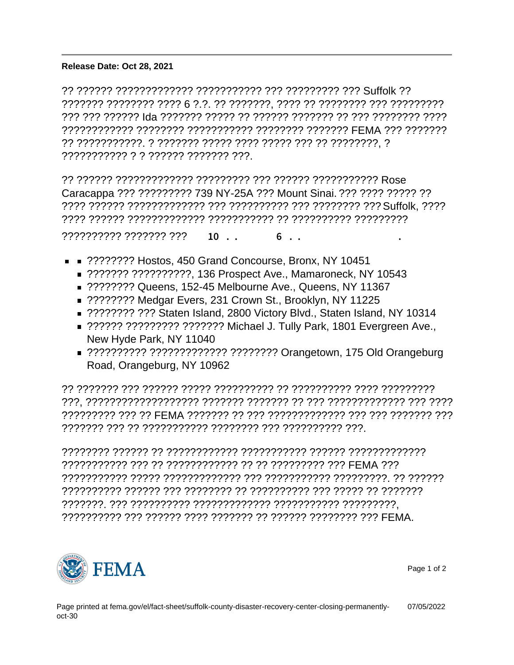Release Date: Oct 28, 2021

?? ?????? ????????????? ??????????? ??? ????????? ??? Suffolk ?? ??????? ???????? ???? 6 ?.?. ?? ???????, ???? ?? ???????? ??? ????????? ??? ??? ?????? Ida ??????? ????? ?? ?????? ??????? ?? ??? ???????? ???? ???????????? ???????? ??????????? ???????? ??????? FEMA ??? ??????? ?? ???????????. ? ??????? ????? ???? ????? ??? ?? ????????, ? ??????????? ? ? ?????? ??????? ???.

?? ?????? ????????????? ????????? ??? ?????? ??????????? Rose Caracappa ??? ????????? 739 NY-25A ??? Mount Sinai. ??? ???? ????? ?? ???? ?????? ????????????? ??? ?????????? ??? ???????? ??? Suffolk, ???? ???? ?????? ????????????? ??????????? ?? ?????????? ?????????

 $????????? ????????????A<sup>1</sup>Å 10 Å.¼. -ÉÅÄ<sup>1</sup>Å 6  $\frac{1}{4}$ .  $\frac{1}{4}$ . "uÅÄ-A± - ÉÅ$ 

- **EXEC** ????????? Hostos, 450 Grand Concourse, Bronx, NY 10451
	- ??????? ???????????, 136 Prospect Ave., Mamaroneck, NY 10543
	- ???????? Queens, 152-45 Melbourne Ave., Queens, NY 11367
	- ????????? Medgar Evers, 231 Crown St., Brooklyn, NY 11225
	- ????????? ??? Staten Island, 2800 Victory Blvd., Staten Island, NY 10314
	- ?????? ????????? ??????? Michael J. Tully Park, 1801 Evergreen Ave., New Hyde Park, NY 11040
	- ??????????? ?????????????? ????????? Orangetown, 175 Old Orangeburg Road, Orangeburg, NY 10962

?? ??????? ??? ?????? ????? ?????????? ?? ?????????? ???? ????????? ???, ??????????????????? ??????? ??????? ?? ??? ????????????? ??? ???? ????????? ??? ?? FEMA ??????? ?? ??? ????????????? ??? ??? ??????? ??? ??????? ??? ?? ??????????? ???????? ??? ?????????? ???.

???????? ?????? ?? ???????????? ??????????? ?????? ????????????? ??????????? ??? ?? ???????????? ?? ?? ????????? ??? FEMA ??? ??????????? ????? ????????????? ??? ??????????? ?????????. ?? ?????? ?????????? ?????? ??? ???????? ?? ?????????? ??? ????? ?? ??????? ???????. ??? ?????????? ????????????? ??????????? ?????????, ?????????? ??? ?????? ???? ??????? ?? ?????? ???????? ??? FEMA.



Page 1 of 2